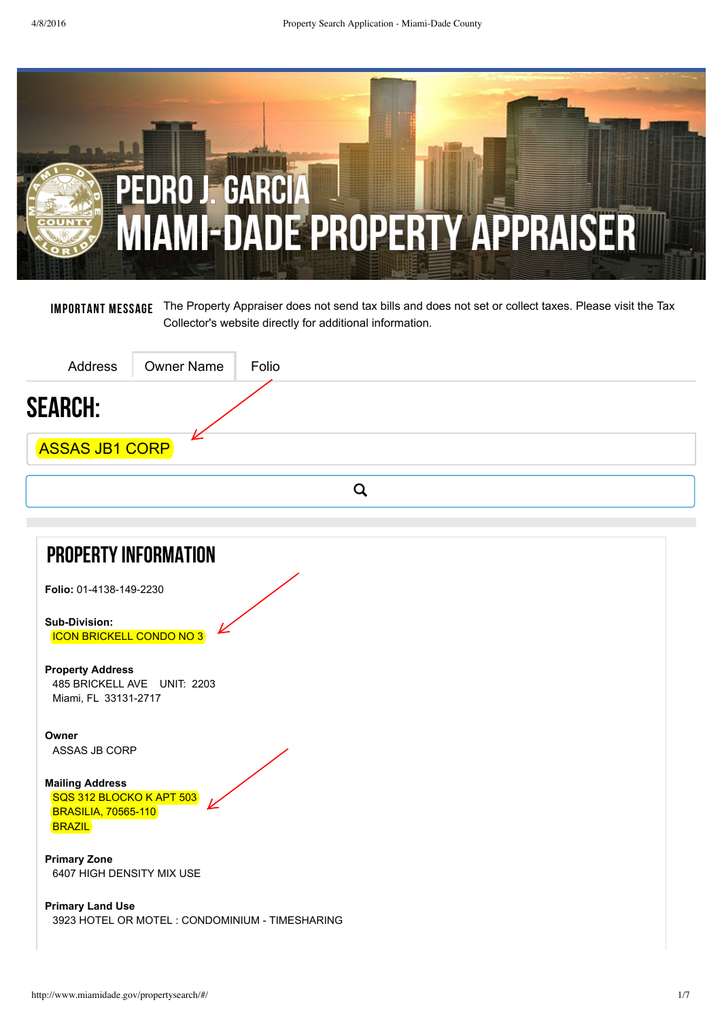

Important Message The Property Appraiser does not send tax bills and does not set or collect taxes. Please visit the Tax Collector's website directly for additional [information.](http://www.miamidade.gov/taxcollector/)

| Address                                                                                           | <b>Owner Name</b>           | Folio |             |  |
|---------------------------------------------------------------------------------------------------|-----------------------------|-------|-------------|--|
| <b>SEARCH:</b>                                                                                    |                             |       |             |  |
| <b>ASSAS JB1 CORP</b>                                                                             |                             |       |             |  |
|                                                                                                   |                             |       | $\mathsf Q$ |  |
|                                                                                                   |                             |       |             |  |
| <b>PROPERTY INFORMATION</b>                                                                       |                             |       |             |  |
| Folio: 01-4138-149-2230                                                                           |                             |       |             |  |
| Sub-Division:<br><b>ICON BRICKELL CONDO NO 3</b>                                                  |                             |       |             |  |
| <b>Property Address</b><br>Miami, FL 33131-2717                                                   | 485 BRICKELL AVE UNIT: 2203 |       |             |  |
| Owner<br>ASSAS JB CORP                                                                            |                             |       |             |  |
| <b>Mailing Address</b><br>SQS 312 BLOCKO K APT 503<br><b>BRASILIA, 70565-110</b><br><b>BRAZIL</b> |                             |       |             |  |

**Primary Zone** 6407 HIGH DENSITY MIX USE

**Primary Land Use** 3923 HOTEL OR MOTEL : CONDOMINIUM TIMESHARING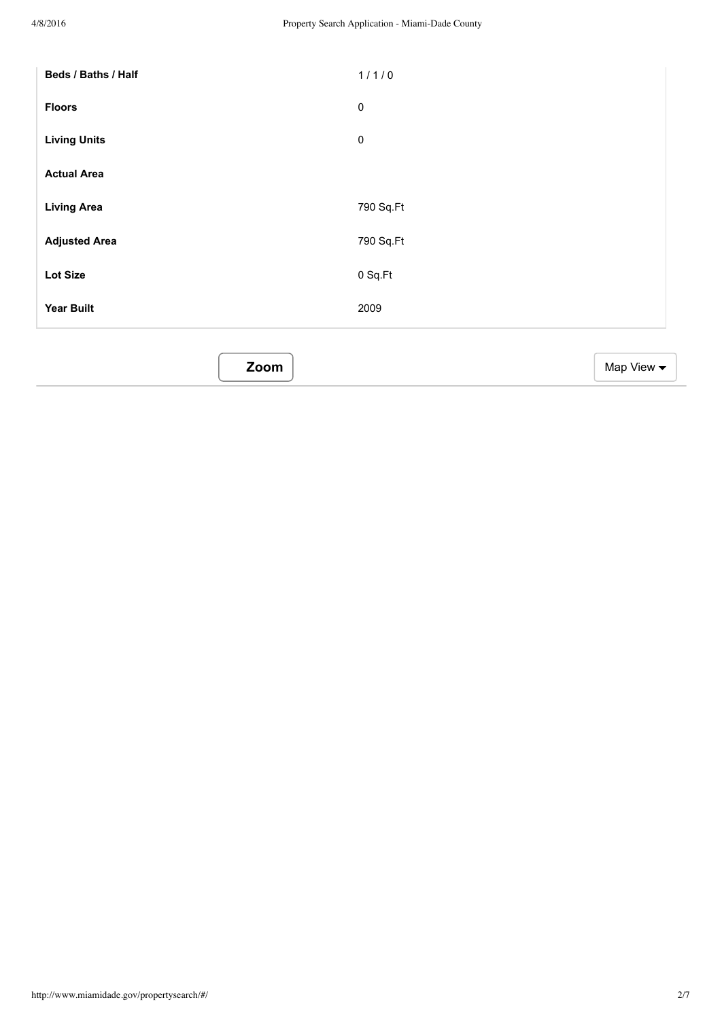| Beds / Baths / Half  | 1/1/0                         |
|----------------------|-------------------------------|
| <b>Floors</b>        | $\pmb{0}$                     |
| <b>Living Units</b>  | $\pmb{0}$                     |
| <b>Actual Area</b>   |                               |
| <b>Living Area</b>   | 790 Sq.Ft                     |
| <b>Adjusted Area</b> | 790 Sq.Ft                     |
| Lot Size             | 0 Sq.Ft                       |
| <b>Year Built</b>    | 2009                          |
|                      |                               |
| Zoom                 | Map View $\blacktriangledown$ |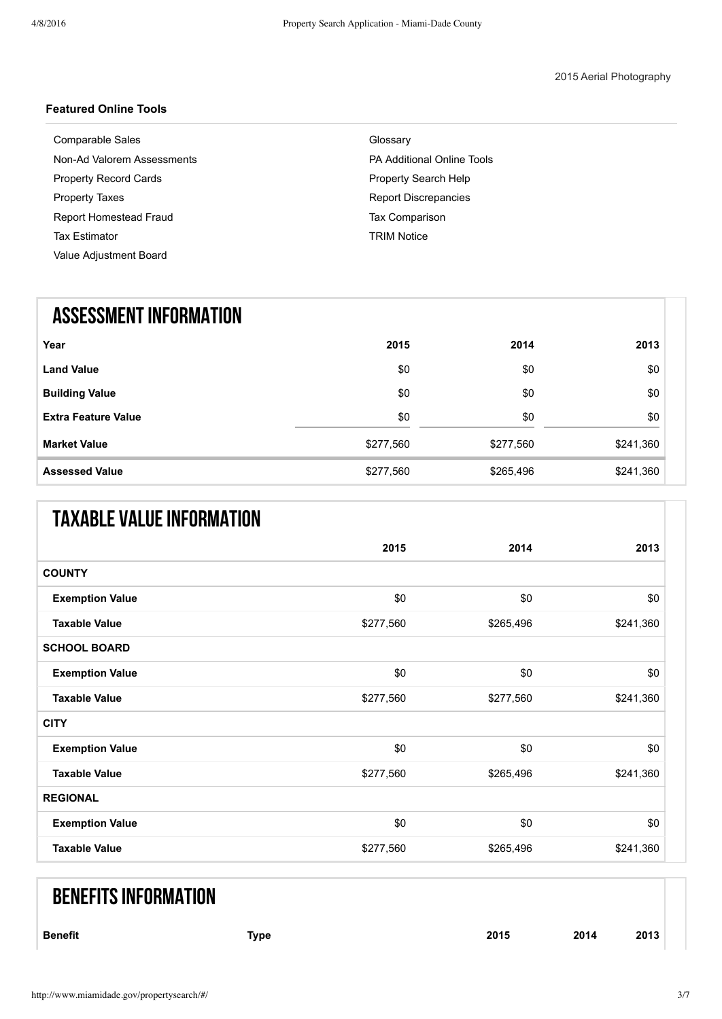#### **Featured Online Tools**

| Comparable Sales             | Glossary                          |
|------------------------------|-----------------------------------|
| Non-Ad Valorem Assessments   | <b>PA Additional Online Tools</b> |
| <b>Property Record Cards</b> | <b>Property Search Help</b>       |
| <b>Property Taxes</b>        | <b>Report Discrepancies</b>       |
| Report Homestead Fraud       | <b>Tax Comparison</b>             |
| <b>Tax Estimator</b>         | <b>TRIM Notice</b>                |
| Value Adjustment Board       |                                   |
|                              |                                   |

# ASSESSMENT INFORMATION

| Year                       | 2015      | 2014      | 2013      |
|----------------------------|-----------|-----------|-----------|
| <b>Land Value</b>          | \$0       | \$0       | \$0       |
| <b>Building Value</b>      | \$0       | \$0       | \$0       |
| <b>Extra Feature Value</b> | \$0       | \$0       | \$0       |
| <b>Market Value</b>        | \$277,560 | \$277,560 | \$241,360 |
| <b>Assessed Value</b>      | \$277,560 | \$265,496 | \$241,360 |

# TAXABLE VALUE INFORMATION

|                        | 2015      | 2014      | 2013      |
|------------------------|-----------|-----------|-----------|
| <b>COUNTY</b>          |           |           |           |
| <b>Exemption Value</b> | \$0       | \$0       | \$0       |
| <b>Taxable Value</b>   | \$277,560 | \$265,496 | \$241,360 |
| <b>SCHOOL BOARD</b>    |           |           |           |
| <b>Exemption Value</b> | \$0       | \$0       | \$0       |
| <b>Taxable Value</b>   | \$277,560 | \$277,560 | \$241,360 |
| <b>CITY</b>            |           |           |           |
| <b>Exemption Value</b> | \$0       | \$0       | \$0       |
| <b>Taxable Value</b>   | \$277,560 | \$265,496 | \$241,360 |
| <b>REGIONAL</b>        |           |           |           |
| <b>Exemption Value</b> | \$0       | \$0       | \$0       |
| <b>Taxable Value</b>   | \$277,560 | \$265,496 | \$241,360 |

# **BENEFITS INFORMATION**

| <b>Benefit</b> | Type | 2015 | 2014 | 2013 |  |
|----------------|------|------|------|------|--|
|                |      |      |      |      |  |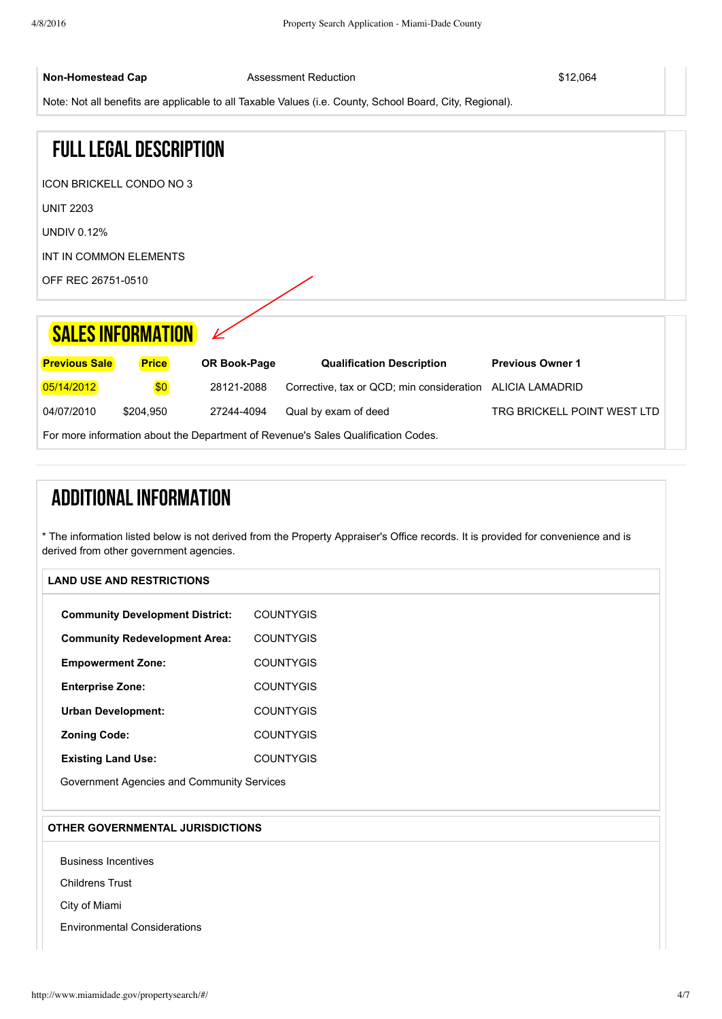**Non-Homestead Cap Assessment Reduction Capability Capability Capability Assessment Reduction \$12,064** 

Note: Not all benefits are applicable to all Taxable Values (i.e. County, School Board, City, Regional).

For more information about the Department of Revenue's Sales [Qualification](http://dor.myflorida.com/dor/property/rp/dataformats15/pdf/salequalcodes.pdf) Codes.

|                        | <b>FULL LEGAL DESCRIPTION</b>   |              |                                           |                             |
|------------------------|---------------------------------|--------------|-------------------------------------------|-----------------------------|
|                        | <b>ICON BRICKELL CONDO NO 3</b> |              |                                           |                             |
| <b>UNIT 2203</b>       |                                 |              |                                           |                             |
| <b>UNDIV 0.12%</b>     |                                 |              |                                           |                             |
| INT IN COMMON ELEMENTS |                                 |              |                                           |                             |
| OFF REC 26751-0510     |                                 |              |                                           |                             |
|                        |                                 |              |                                           |                             |
|                        | <b>SALES INFORMATION</b>        |              |                                           |                             |
| <b>Previous Sale</b>   | <b>Price</b>                    | OR Book-Page | <b>Qualification Description</b>          | <b>Previous Owner 1</b>     |
| 05/14/2012             | \$0                             | 28121-2088   | Corrective, tax or QCD; min consideration | <b>ALICIA LAMADRID</b>      |
| 04/07/2010             | \$204,950                       | 27244-4094   | Qual by exam of deed                      | TRG BRICKELL POINT WEST LTD |

ADDITIONAL INFORMATION

\* The information listed below is not derived from the Property Appraiser's Office records. It is provided for convenience and is derived from other government agencies.

| <b>Community Development District:</b>     | <b>COUNTYGIS</b> |  |
|--------------------------------------------|------------------|--|
| <b>Community Redevelopment Area:</b>       | <b>COUNTYGIS</b> |  |
| <b>Empowerment Zone:</b>                   | <b>COUNTYGIS</b> |  |
| <b>Enterprise Zone:</b>                    | <b>COUNTYGIS</b> |  |
| <b>Urban Development:</b>                  | <b>COUNTYGIS</b> |  |
| <b>Zoning Code:</b>                        | <b>COUNTYGIS</b> |  |
| <b>Existing Land Use:</b>                  | <b>COUNTYGIS</b> |  |
| Government Agencies and Community Services |                  |  |

#### **OTHER GOVERNMENTAL JURISDICTIONS**

Business [Incentives](http://gisweb.miamidade.gov/businessincentive/default.aspx?searchtype=address&paramvalue=)

[Childrens](https://www.thechildrenstrust.org/) Trust

City of [Miami](http://www.miamigov.com/home/)

Environmental [Considerations](http://gisweb.miamidade.gov/environmentalconsiderations/default.aspx?searchtype=address¶mvalue=485%20BRICKELL%20AVE%202203)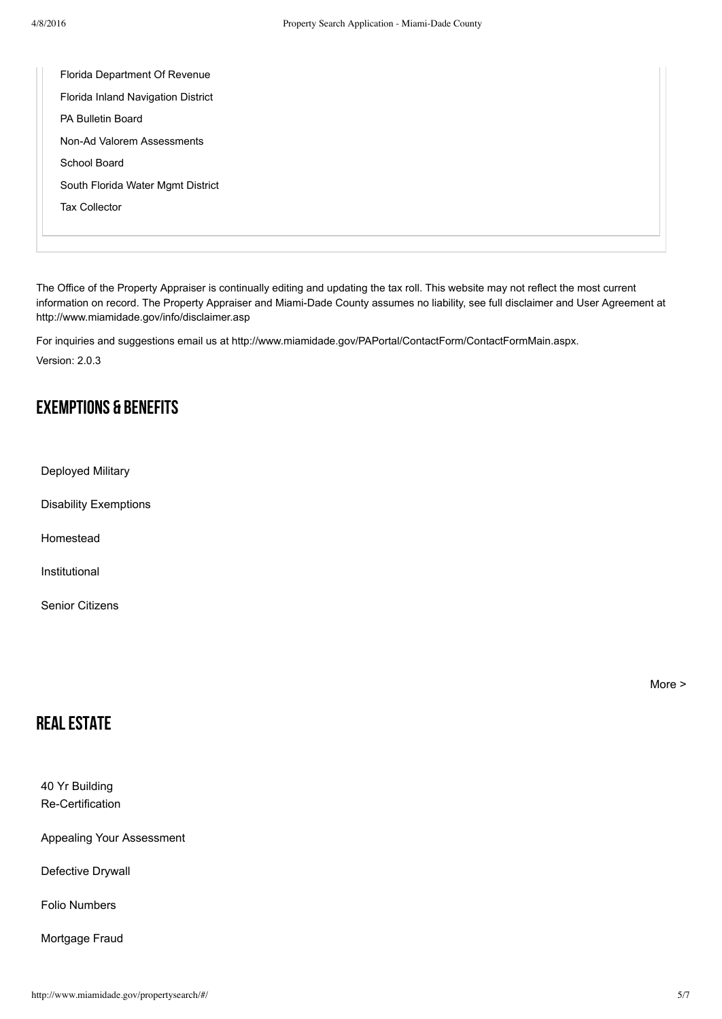| Florida Department Of Revenue      |
|------------------------------------|
| Florida Inland Navigation District |
| PA Bulletin Board                  |
| Non-Ad Valorem Assessments         |
| School Board                       |
| South Florida Water Mgmt District  |
| <b>Tax Collector</b>               |
|                                    |
|                                    |

The Office of the Property Appraiser is continually editing and updating the tax roll. This website may not reflect the most current information on record. The Property Appraiser and Miami-Dade County assumes no liability, see full disclaimer and User Agreement at <http://www.miamidade.gov/info/disclaimer.asp>

For inquiries and suggestions email us at <http://www.miamidade.gov/PAPortal/ContactForm/ContactFormMain.aspx>. Version: 2.0.3

### Exemptions & Benefits

[Deployed](http://www.miamidade.gov/pa/exemptions_military.asp) Military

Disability [Exemptions](http://www.miamidade.gov/pa/exemptions_disabilities.asp)

[Homestead](http://www.miamidade.gov/pa/exemptions_homestead.asp)

[Institutional](http://www.miamidade.gov/pa/exemptions_institutional.asp)

Senior [Citizens](http://www.miamidade.gov/pa/exemptions_homestead_senior.asp)

[More](http://www.miamidade.gov/pa/exemptions.asp) >

#### **REAL ESTATE**

40 Yr Building **Re-Certification** 

Appealing Your [Assessment](http://www.miamidade.gov/pa/appealing_assessment.asp)

[Defective](http://www.miamidade.gov/pa/news_drywall.asp) Drywall

Folio [Numbers](http://www.miamidade.gov/pa/property_folio_numbers.asp)

[Mortgage](http://www.miamidade.gov/pa/mortgage-fraud.asp) Fraud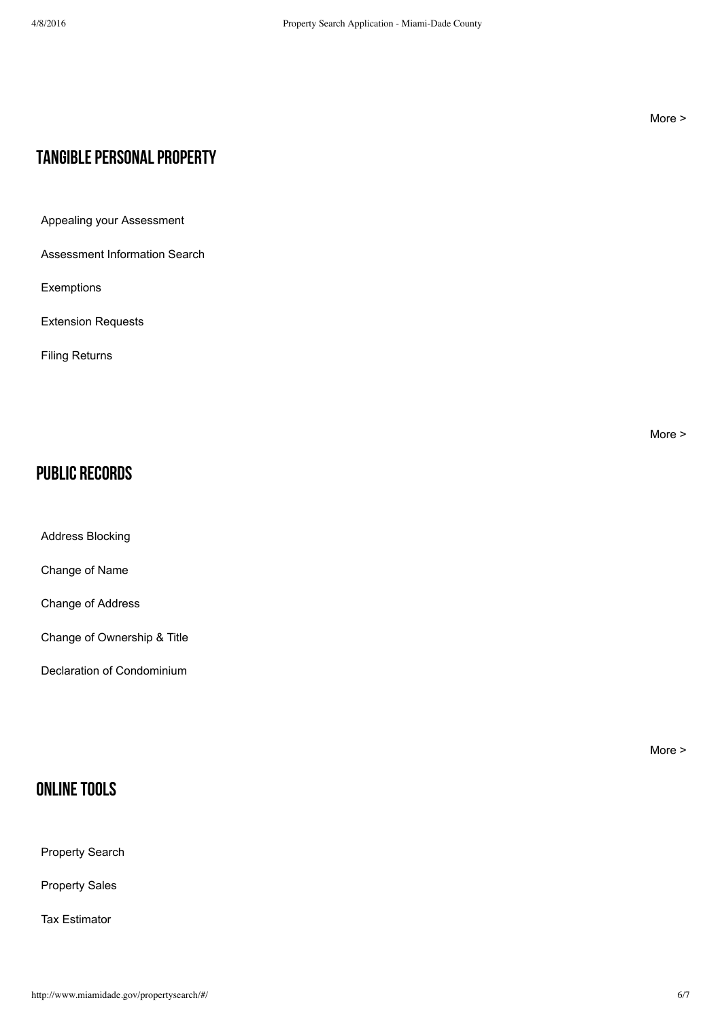#### [More](http://www.miamidade.gov/pa/real_estate.asp) >

## TANGIBLE PERSONAL PROPERTY

Appealing your [Assessment](http://www.miamidade.gov/pa/appealing_assessment.asp)

[Assessment](http://www.miamidade.gov/pa/business_lookup.asp#/) Information Search

[Exemptions](http://www.miamidade.gov/pa/exemptions_tangible.asp)

[Extension](http://www.miamidade.gov/pa/property_tangible_extension.asp) Requests

Filing [Returns](http://www.miamidade.gov/pa/exemptions_tangible_filing.asp)

[More](http://www.miamidade.gov/pa/property_tangible.asp) >

## Public Records

Address [Blocking](http://www.miamidade.gov/pa/public_records_address_block.asp)

[Change](http://www.miamidade.gov/pa/public_records_name_change.asp) of Name

Change of [Address](http://www.miamidade.gov/pa/address_change.asp)

Change of [Ownership](http://www.miamidade.gov/pa/public_records_ownership.asp) & Title

Declaration of [Condominium](http://www.miamidade.gov/pa/public_records_condo.asp)

ONLINE TOOLS

[Property](http://www.miamidade.gov/pa/property_search.asp) Search

[Property](http://www.miamidade.gov/pa/property_sales.asp) Sales

Tax [Estimator](http://www.miamidade.gov/PAPortal/Taxes/TaxEstimator.aspx)

[More](http://www.miamidade.gov/pa/public_records.asp) >